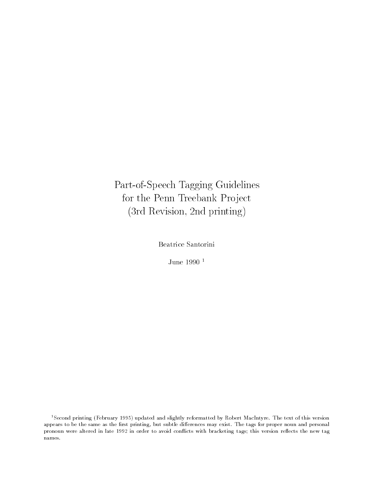Part-of-Speech Tagging Guidelinesfor the Penn Treebank Project (3rd Revision, 2nd printing)

Beatrice Santorini

June -

<sup>-</sup>Second printing (February 1995) updated and slightly reformatted by Kobert MacIntyre. The text of this version appears to be the same as the rst printing but subtle di erences may exist The tags for proper noun and personalpronoun were altered in late 1992 in order to avoid conflicts with bracketing tags; this version reflects the new tag names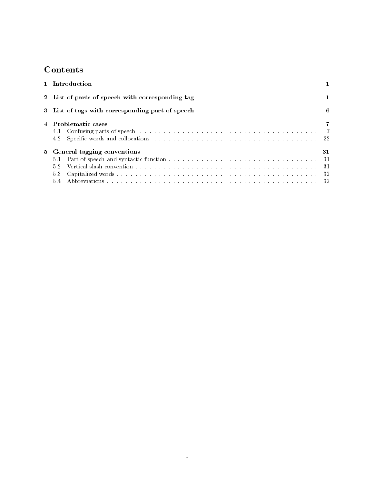# **Contents**

| 1 Introduction                                    |    |
|---------------------------------------------------|----|
| 2 List of parts of speech with corresponding tag  |    |
| 3 List of tags with corresponding part of speech  | 6  |
| 4 Problematic cases                               |    |
| 5 General tagging conventions<br>5.1<br>5.2<br>53 | 31 |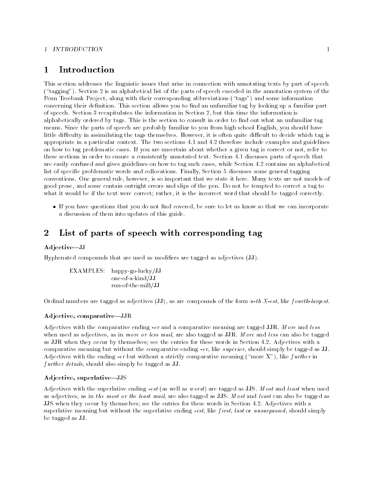#### 1 INTRODUCTION

#### Introduction  $\mathbf{1}$

This section addresses the linguistic issues that arise in connection with annotating texts by part of speech  $t \sim 1$  and alphabetical list of the parts of the parts of the parts of the annotation system of the annotation system of the annotation system of the annotation system of the annotation system of the annotation system of Penn Treebank Project
along with their corresponding abbreviations tags and some information concerning their denimition-basic sections and the section and unfamiliar tag by looking up a familiar part. of speech- Section recapitulates the information in Section 
but this time the information is alphabetically statistically inger-this is the section to namiliar the section that who may unconsult ing means- showed the parts of speech are probably familiar to you from high school Englished are not to little diculty in assimilating the tags themselves- However
it is often quite dicult to decide which tag is appropriate in a particular context- matches the two sections and there include the context and guidelines and on how to tag problematic cases-in give and about whether as easy and angeles to refer to not problem to these sections in order to ensure a consistently annotated text- Section - discusses parts of speech that are easily confused and gives guidelines on how to tag such cases are contains an alphabetical list of specic problematic words and collocations- Finally
Section discusses some general tagging conventions- is not general rule; not compare that we show that we show the models of the models of the compare good prose
and some contain outright errors and slips of the pen- Do not be tempted to correct a tag to what it would be if the text were correct; rather, it is the incorrect word that should be tagged correctly.

If you have questions that you do not find covered, be sure to let us know so that we can incorporate a discussion of them into updates of this guide-

#### $\overline{2}$  List of parts of speech with corresponding tag . . .

#### Adjective-JJ

Hyphenated compounds that are used as modifiers are tagged as adjectives  $(\mathbf{J}\mathbf{J})$ .

EXAMPLES: happy-go-lucky/JJ one-of-a-kind/JJ run-of-the-mill/JJ

ordinal numbers are tagged as adjectives (i.e.), as are compounded and no compounds of the form and getting

### Adjective, comparative-JJR

Adjectives with the comparative ending -er and a comparative meaning are tagged JJR- M ore and l ess when used as a in more or less mail are also tagged as JJRas JJR when they occur by themselves see the entries for these words in Section -- Adjectives with a comparative meaning but without the comparative ending -er
like superior
should simply be tagged as JJadjectives with the ending of salvatoring a strictly comparative measuring  $\eta$  and as  $\eta$  strictly and the compa f urther details, should also simply be tagged as JJ.

## Adjective, superlative-JJS

est as well as well as well as well as Just as well as well as well as the summer when when  $\cdots$ as and least or the least mail of the least mail are also tagged as JJS-C also be tagged as Jungales and the , when they column by the entries in the entries for the entries in Section - and the entries with a section of supercording the without the supercording - the superlative ending - the simple simple simple simple, the simple be tagged as JJ.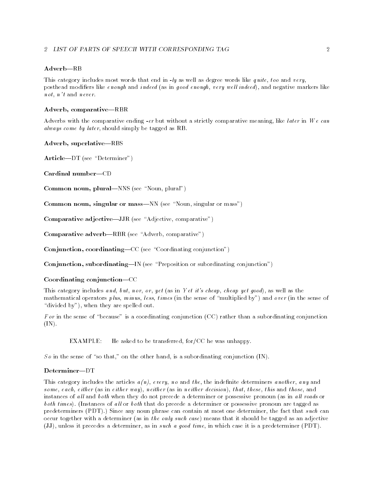### 2 LIST OF PARTS OF SPEECH WITH CORRESPONDING TAG

#### $Adverb-RB$

This category includes most words that end in -ly as well as degree words like q uite t oo and v ery posthead modifiers like  $\epsilon$  nough and indeed (as in good enough, very well indeed), and negative markers like  $n \circ t$ ,  $n' t$  and never.

### Adverb, comparative-RBR

Adverbs with the comparative ending -er but without a strictly comparative meaning
like l ater in We can always come by later, should simply be tagged as RB.

#### Adverb, superlative—RBS

articles in the continuer of the continuer of the continue of the continue of the continue of the continue of

 $Cardinal number—CD$ 

noun plural Noun and Noun and Noun and Noun and Noun and Noun and Noun and Noun and Noun and Noun and Noun and

singular or mass singular or mass with the singular or mass  $\mu$ 

comparative and the comparative comparative comparative  $\mathcal{L}_{\mathcal{A}}$ 

comparative advertisers and the comparative advertisers and the comparative advertisers are advertised and the

Conjunction coordinatingCC see Coordinating conjunction

Conjunction subordinatingIN see Preposition or subordinating conjunction

## Coordinating conjunction-CC

This category includes and, but, nor, or, yet (as in Yet it's cheap, cheap yet good), as well as the mathematical operators p lus, with the sense  $\{m\}$  and over  $\alpha$  in the sense of  $\alpha$  , which is and over  $\alpha$ divided by an order they are a possessed out-

 $\mathbf r$  or in the sense of  $\mathbf r$  rather than a construction of  $\mathbf r$  rather than a substanting conjunction of  $(IN).$ 

EXAMPLE: He asked to be transferred, for  $/CC$  he was unhappy.

 $S$  or the sense of the sense of the other hand, in the other hand, in the other hand, in the other hand, in

#### $Determine r - DT$

This category includes the articles  $a(n)$ , every, no and the, the indefinite determiners another, any and some, each, either (as in either way), neither (as in neither decision), that, these, this and those, and instances of all and both when they do not precede a determiner or possessive pronoun (as in all roads or both times- Instances of all or both that do precede a determiner or possessive pronoun are tagged as  $\mathbf{P}$  -contain at most one determines can contain at most one determines can contain at most one determines can contain at most one determines one determines at most one determines on  $\mathbf{P}$ occur together with a determiner (as in the only such case) means that it should be tagged as an adjective (JJ), unless it precedes a determiner, as in such a good time, in which case it is a predeterminer  $(PDT)$ .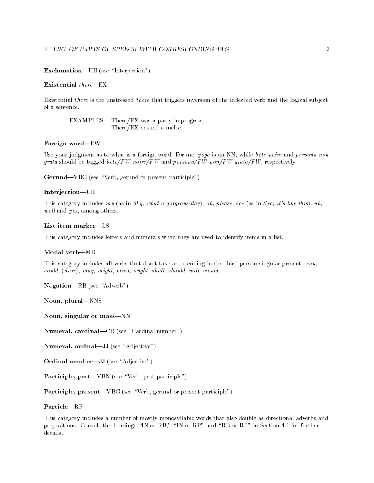#### Exclusive Contract Contract Contract of the UH of the UH of the UH of the UH of the UH of the UH of the UH of

#### Existential  $there$ =EX

Existential there is the unstressed there that triggers inversion of the inflected verb and the logical subject of a sentence.

EXAMPLES: There/EX was a party in progress. There/EX ensued a melee.

#### Foreign word-FW

Use your judgment as to what is a foreign word- For me y oga is an NN
while bete noire and persona non grata should be tagged  $b \hat{\epsilon} t \epsilon / F W$  noire/FW and persona/FW non/FW grata/FW, respectively.

er en de la compartie de la present participation de la compartie de la presentación de la proporcional de la

#### Interjection-UH

This category includes my (as in My, what a gorgeous day), oh, please, see (as in See, it's like this), uh,  $well$  and  $yes$ , among others.

This category includes letters and numerals when they are used to identify items in a list-

#### Modal verb-MD

This category includes all verbs that dont take an -s ending in the third person singular present can  $\mathit{could}, (\mathit{dare}), \mathit{may}, \mathit{might}, \mathit{must}, \mathit{ought}, \mathit{shall}, \mathit{should}, \mathit{will}, \mathit{would}.$ 

Negation and the seesment of the seesment of the seesment of the seesment of the seesment of the seesment of the

Noun, plural-NNS

Noun, singular or mass-NN

numeral cardinal complete cardinal number of  $\overline{\phantom{a}}$ 

numeral ordinal ordinal  $\mathcal{A}$  . Adjacent see the set of the set of the set of the set of the set of the set

ordinal number  $\mathcal{A}$  . The set of the set of the set of the set of the set of the set of the set of the set of the set of the set of the set of the set of the set of the set of the set of the set of the set of the set o

Participate participate participate participate participate in the participate of the participate of the participate of the participate of the participate of the participate of the participate of the participate of the par

Participles presents or present participations or present participles (

This category includes a number of mostly monosyllabic words that also double as directional adverbs and prepositions- Consult the headings IN or RB
 IN or RP and RB or RP in Section - for further details.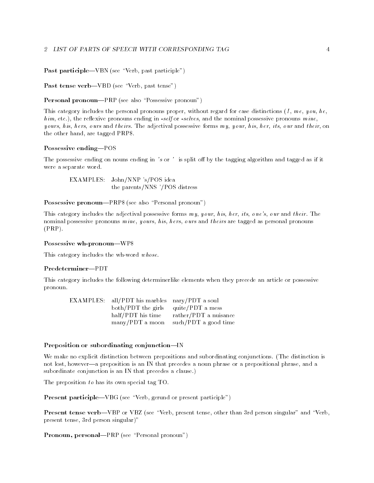past past the past particle in the past participate  $\rho$ 

past tense verbouden verbouden van de verbouden van de verbouden van de verbouden van de verbouden van de verbouden

Possessive pronounce is the pronounce pronounce of the pronounce of  $\rho$ 

This category includes the personal pronouns proper, without regard for case distinctions  $(I, me, you, he,$ h im
etc-
the reexive pronouns ending in -self or -selves
and the nominal possessive pronouns m ine y ours and the adjective forms my content possessive forms my your and the adjective model and the content the other hand, are tagged PRP\$.

### Possessive ending-POS

The possessive ending on nouns ending in 's or ' is split off by the tagging algorithm and tagged as if it were a separate word.

EXAMPLES: John/NNP 's/POS idea the parents/NNS '/POS distress

Possessive pronounce is the section of the section pronounce  $\rho$ 

this category includes the adjective forms my our and the adjective forms my our and the set ones ones are the nominal possessive pronouns mine, yours, his, hers, ours and theirs are tagged as personal pronouns  $(PRP)$ .

#### Possessive wh-pronoun—WP\$

This category includes the wh-word  $whose$ .

#### Predeterminer-PDT

This category includes the following determinerlike elements when they precede an article or possessive pronoun. pronoun-

| EXAMPLES: all/PDT his marbles nary/PDT a soul |                       |
|-----------------------------------------------|-----------------------|
| both/PDT the girls quite/PDT a mess           |                       |
| half/PDT his time                             | rather/PDT a nuisance |
| many/PDT a moon                               | such/PDT a good time  |

### Preposition or subordinating conjunction-IN

we make no explicit distinction between prepositions and subordinating conjunctions- (which distinct and cont not lost, however—a preposition is an IN that precedes a noun phrase or a prepositional phrase, and a subordinate conjunction is an IN that precedes a clause-

The preposition  $to$  has its own special tag TO.

e e se see participies or present participation or present participation ( ) and

present tense verby tensels in verby present tensels and than person singular and results present tense, 3rd person singular)"

Pronoun personalPRP see Personal pronoun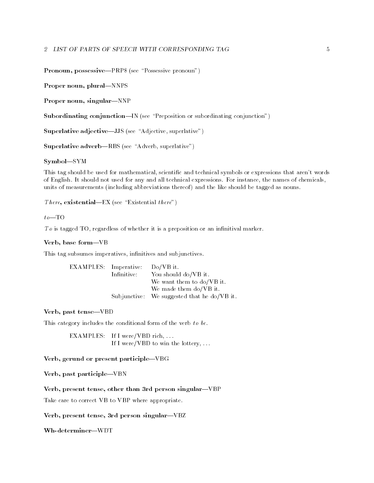Pronounce pronounce is the pronounced of the pronounce  $\rho$ 

Proper noun, plural-NNPS

Proper noun, singular-NNP

Subordinating conjunctionIN see Preposition or subordinating conjunction

superlative and contract and the second contract of the superlative  $\mathcal{L}_{\mathcal{S}}$ 

superlative and the superlative adverbance of the superlative of the superlative of the superlative of the superlative of the superlative of the superlative of the superlative of the superlative of the superlative of the s

Symbol-SYM

This tag should be used for mathematical, scientific and technical symbols or expressions that aren't words of English- It should not used for any and all technical expressions- For instance
the names of chemicals units of measurements (including abbreviations thereof) and the like should be tagged as nouns.

The second contract of the contract of the second  $\mathcal{L}_{\mathcal{A}}$ 

#### $to$ -TO

 $To$  is tagged TO, regardless of whether it is a preposition or an infinitival marker.

### Verb, base form-VB

This tag subsumes imperatives, infinitives and subjunctives.

| EXAMPLES: Imperative: |             | $Do/VB$ it.                                 |
|-----------------------|-------------|---------------------------------------------|
|                       | Infinitive: | You should do/VB it.                        |
|                       |             | We want them to do/VB it.                   |
|                       |             | We made them do/VB it.                      |
|                       |             | Subjunctive: We suggested that he do/VB it. |

Verb, past tense-VBD

This category includes the conditional form of the verb to be.

EXAMPLES: If I were/VBD rich,  $\dots$ If I were/VBD to win the lottery, ...

### Verb, gerund or present participle-VBG

Verb, past participle-VBN

Verb, present tense, other than 3rd person singular-VBP

Take care to correct VB to VBP where appropriate.

Verb, present tense, 3rd person singular-VBZ

Wh-determiner-WDT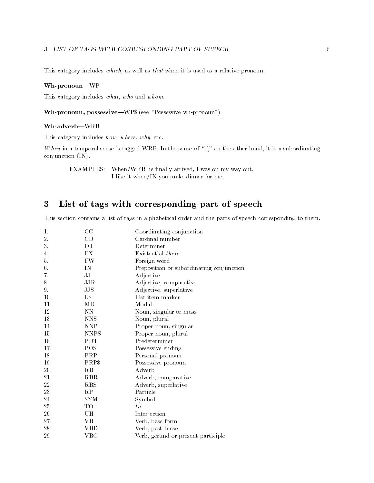### LIST OF TAGS WITH CORRESPONDING PART OF SPEECH

This category includes  $which$ , as well as that when it is used as a relative pronoun.

#### Wh-pronoun-WP

This category includes  $what, who$  and  $whom.$ 

where the seed of the second control is the second control of the second control of the second control of the s

#### Wh-adverb-WRB

This category includes  $h \,ow$ ,  $where$ ,  $why$ , etc.

when it is the sense of the support when the sense of the sense of the sense of the other handles  $\pi$ conjunction  $(IN)$ .

EXAMPLES: When/WRB he finally arrived, I was on my way out. I like it when/IN you make dinner for me.

#### 3 List of tags with corresponding part of speech

This section contains a list of tags in alphabetical order and the parts of speech corresponding to them.

| 1.  | CC             | Coordinating conjunction                 |
|-----|----------------|------------------------------------------|
| 2.  | CD             | Cardinal number                          |
| 3.  | DТ             | Determiner                               |
| 4.  | EX             | Existential there                        |
| 5.  | FW             | Foreign word                             |
| 6.  | IN             | Preposition or subordinating conjunction |
| 7.  | IJ             | Adjective                                |
| 8.  | JJR            | Adjective, comparative                   |
| 9.  | JJS            | Adjective, superlative                   |
| 10. | LS             | List item marker                         |
| 11. | МD             | Modal                                    |
| 12. | NΝ             | Noun, singular or mass                   |
| 13. | <b>NNS</b>     | Noun, plural                             |
| 14. | <b>NNP</b>     | Proper noun, singular                    |
| 15. | <b>NNPS</b>    | Proper noun, plural                      |
| 16. | <b>PDT</b>     | Predeterminer                            |
| 17. | POS            | Possessive ending                        |
| 18. | PRP            | Personal pronoun                         |
| 19. | PRP\$          | Possessive pronoun                       |
| 20. | R <sub>B</sub> | Adverb                                   |
| 21. | <b>RBR</b>     | Adverb, comparative                      |
| 22. | <b>RBS</b>     | Adverb, superlative                      |
| 23. | RP             | Particle                                 |
| 24. | SYM            | Symbol                                   |
| 25. | TO             | $t_{\theta}$                             |
| 26. | UН             | Interjection                             |
| 27. | VВ             | Verb, base form                          |
| 28. | VBD            | Verb, past tense                         |
| 29. | $_{\rm VBG}$   | Verb, gerund or present participle       |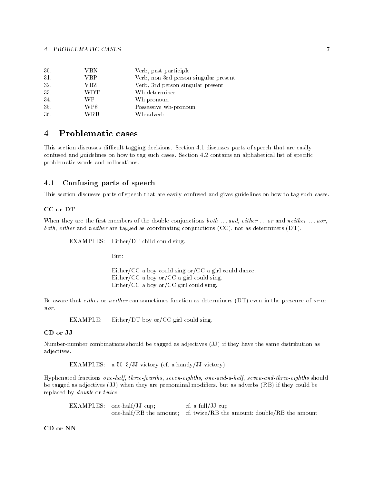| 30. | VBN        | Verb, past participle                 |
|-----|------------|---------------------------------------|
| 31. | VBP        | Verb, non-3rd person singular present |
| 32. | VBZ        | Verb, 3rd person singular present     |
| 33. | <b>WDT</b> | Wh-determiner                         |
| 34. | WР         | Wh-pronoun                            |
| 35. | WP\$       | Possessive wh-pronoun                 |
| 36. | WRB        | Wh-adverb                             |

#### $\overline{4}$  Problematic cases

This section discusses dicult tagging decisions- Section - discusses parts of speech that are easily confused and guidelines on how to tag such cases- Section - contains an alphabetical list of specic problematic words and collocations-

## Confusing parts of speech

This section discusses parts of speech that are easily confused and gives guidelines on how to tag such cases-

#### CC or DT

When they are the first members of the double conjunctions  $\mathit{both} \dots \mathit{and}, \mathit{either} \dots \mathit{or} \mathit{and} \mathit{neither} \dots \mathit{nor}$ ,  $both, either$  and neither are tagged as coordinating conjunctions (CC), not as determiners (DT).

EXAMPLES: Either/DT child could sing.

Either/CC a boy could sing or/CC a girl could dance. Either/CC a boy or/CC a girl could sing. Either/CC a boy or/CC girl could sing.

Be aware that either or neither can sometimes function as determiners  $(DT)$  even in the presence of or or nor.

EXAMPLE: Either/DT boy or/CC girl could sing.

Number-number combinations should be tagged as adjectives (JJ) if they have the same distribution as adjectives.

 $\blacksquare$ 

Hyphenated fractions one-half t hree-fourths seven-eighths one-and-a-half seven-and-three-eighths should be tagged as adjectives  $(\overline{JJ})$  when they are prenominal modifiers, but as adverbs  $(RB)$  if they could be replaced by *double* or *twice*.

 $EXAMPLES:$  one-half/JJ cup; cf. a full/JJ cup one have, when the amount complete and the amount double the amount double

CD or NN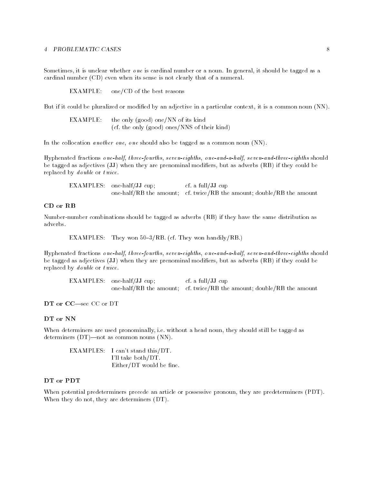, it is unclear whether one is a non-tagged as a noun-tagged as a noun-tagged as a non-tagged as a noncardinal number  $(CD)$  even when its sense is not clearly that of a numeral.

 $EXAMPLE:$  one/CD of the best reasons

But if it could be pluralized or modified by an adjective in a particular context, it is a common noun (NN).

| EXAMPLE: | the only (good) one/NN of its kind           |  |
|----------|----------------------------------------------|--|
|          | (cf. the only (good) ones/NNS of their kind) |  |

In the collocation *another one*, one should also be tagged as a common noun  $(NN)$ .

Hyphenated fractions one-half t hree-fourths seven-eighths one-and-a-half seven-and-three-eighths should be tagged as adjectives (JJ) when they are prenominal modifiers, but as adverbs (RB) if they could be replaced by  $\delta$  *d*  $\delta$  *d*  $\delta$  *d*  $\delta$  *d*  $\delta$  *d*  $\delta$  *d*  $\delta$  *d*  $\delta$  *d*  $\delta$  *d*  $\delta$  *d*  $\delta$  *d*  $\delta$  *d*  $\delta$  *d*  $\delta$  *d*  $\delta$  *d*  $\delta$  *d*  $\delta$  *d*  $\delta$  *d*  $\delta$  *d*  $\delta$  *d*  $\delta$  *d*  $\delta$  *d*  $\delta$  *d*  $\$ 

 $EXAMPLES:$  one-half/JJ cup; cf. a full/ $JJ$  cup one have, when the amount complete and the amount double the amount double

#### CD or RB

Number-number combinations should be tagged as adverbs  $(RB)$  if they have the same distribution as adverbs.

examples they won rectificated they won handled they won the state of the state of the state of the state of t

Hyphenated fractions one-half t hree-fourths seven-eighths one-and-a-half seven-and-three-eighths should be tagged as adjectives  $(\overline{JJ})$  when they are prenominal modifiers, but as adverbs  $(RB)$  if they could be replaced by *double* or *twice*.

 $EXAMPLES:$  one-half/JJ cup:  $cf. a full/JJ cup$ one have, when the amount complete and the amount double the amount double

DT or CC-see CC or DT

#### DT or NN

with determiners are used promotioning they constant a means moved, who are over the company as determiners  $(DT)$ —not as common nouns  $(NN)$ .

EXAMPLES: I can't stand this/DT. I'll take both/DT.  $Either/DT$  would be fine.

### DT or PDT

When potential predeterminers precede an article or possessive pronoun, they are predeterminers (PDT). When they do not, they are determiners  $(DT)$ .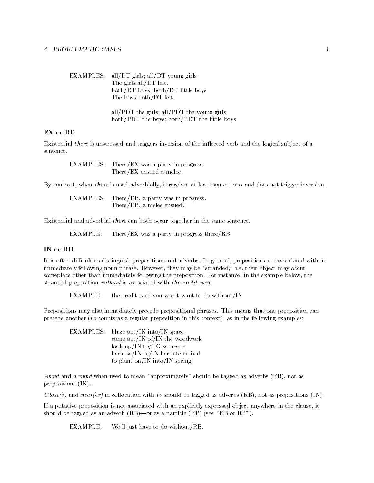EXAMPLES: all/DT girls; all/DT young girls The girls all/DT left. both/DT boys; both/DT little boys The boys both/DT left. all/PDT the girls; all/PDT the young girls

both/PDT the boys; both/PDT the little boys

## EX or RB

Existential there is unstressed and triggers inversion of the inflected verb and the logical subject of a sentence.

EXAMPLES: There/EX was a party in progress. There/EX ensued a melee.

By contrast, when there is used adverbially, it receives at least some stress and does not trigger inversion.

 $EXAMPLES$ : There/RB, a party was in progress. There/RB, a melee ensued.

Existential and adverbial there can both occur together in the same sentence.

EXAMPLE: There/EX was a party in progress there/RB.

#### IN or RB

It is often dicult to distinguish prepositions and adverbs- In general
prepositions are associated with an immediately following noun phrase-benzon phrase-benzon phrase-benzon phrase-benzon phrase-benzon phrase-benzon some place other thanks immediately following the preposition- for instance, in the example below, the complete stranded preposition without is associated with the credit card.

EXAMPLE: the credit card you won't want to do without/IN

Prepositions may also immediately precede prepositional phrases- This means that one preposition can precede another (to counts as a regular preposition in this context), as in the following examples:

 $EXAMPLES:$  blaze out/IN into/IN space come out/IN of/IN the woodwork look up/IN to/TO someone because/IN of/IN her late arrival to plant on/IN into/IN spring

about and around when when it means the premium is, the mean of importing the should be tagged as a prepositions  $(IN)$ .

 $Close(r)$  and near(er) in collocation with to should be tagged as adverbs (RB), not as prepositions (IN).

If a putative preposition is not associated with an explicitly expressed object anywhere in the clause, it showed as an advertised as a particle  $\mathcal{S}$  . The section is the section of  $\mathcal{S}$ 

EXAMPLE: We'll just have to do without/RB.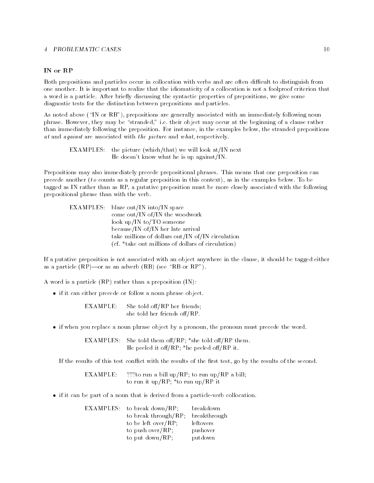### IN or RP

Both prepositions and particles occur in collocation with verbs and are often difficult to distinguish from one another- It is important to realize that the idiomaticity of a collocation is not a foolproof criterion that a word is a particle-three streng discussing the synthesis properties of properties of After Streng diagnostic tests for the distinction between prepositions and particles-

as noted above  $\alpha$  are generally prepositions are  $\alpha$  immediately associated with an immediately following nounce phrase- they may be stranged in the beginning of a clause rather than the beginning of a clause rather than th than immediately following the preposition- For instance
in the examples below
the stranded prepositions at and against are associated with the picture and what, respectively.

EXAMPLES: the picture (which/that) we will look at/IN next He doesn't know what he is up against/IN.

Prepositions may also immediately precede prepositional phrases- This means that one preposition can precede another  $\mathbf{M}$  regular preposition in this context preposition in the examples belowtagged as IN rather than as RP
a putative preposition must be more closely associated with the following prepositional phrase than with the verb-

| EXAMPLES: blaze out/IN into/IN space               |
|----------------------------------------------------|
| come out/IN of/IN the woodwork                     |
| look up/IN to/TO someone                           |
| because/IN of/IN her late arrival                  |
| take millions of dollars out/IN of/IN circulation  |
| (cf. *take out millions of dollars of circulation) |

If a putative preposition is not associated with an object anywhere in the clause
it should be tagged either as a particle RPor as an adverb RB see RB or RP-

A word is a particle  $(RP)$  rather than a preposition  $(IN)$ :

• if it can either precede or follow a noun phrase object.

She told off/RP her friends; EXAMPLE: she told her friends off/RP-

• if when you replace a noun phrase object by a pronoun, the pronoun must precede the word.

EXAMPLES: She told them of  $RP$ ; \*she told of  $RP$  them. He peeled it off/RP; \*he peeled off/RP it.

If the results of this test conflict with the results of the first test, go by the results of the second.

EXAMPLE: ???to run a bill up/RP; to run up/RP a bill; to run it up/RP; \*to run up/RP it

• if it can be part of a noun that is derived from a particle-verb collocation.

| EXAMPLES: to break down/RP; | breakdown    |
|-----------------------------|--------------|
| to break through/ $RP$ ;    | breakthrough |
| to be left over/ $RP$ ;     | leftovers    |
| to push over/ $RP$ ;        | pushover     |
| to put $down/RP$ ;          | putdown      |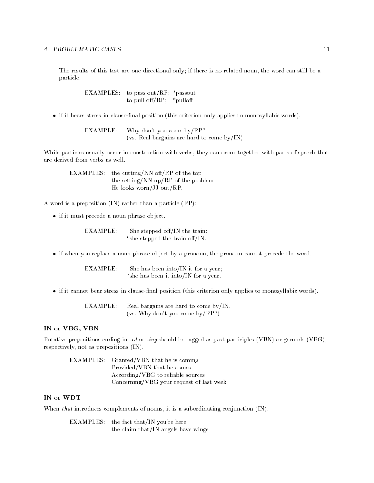The results of this test are one-directional only; if there is no related noun, the word can still be a particle.

> EXAMPLES: to pass out/RP;  $*$  passout to pull of  $f(RP; *p$ ulloff

 $\bullet$  if it bears stress in clause-final position (this criterion only applies to monosyllabic words).

Why don't you come  $by/RP?$ EXAMPLE: var are hard bargains are hard to come by India, India, India, India, India, India, India, India, India, India,

While particles usually occur in construction with verbs, they can occur together with parts of speech that are derived from verbs as well.

EXAMPLES: the cutting/NN off/RP of the top the setting/NN up/RP of the problem He looks worn/JJ out/RP.

A word is a preposition  $(IN)$  rather than a particle  $(RP)$ :

• if it must precede a noun phrase object.

 $EXAMPLE:$  She stepped off/IN the train; \*she stepped the train off/IN.

• if when you replace a noun phrase object by a pronoun, the pronoun cannot precede the word.

EXAMPLE: She has been into/IN it for a year; \*she has been it into/IN for a year.

 $\bullet$  if it cannot bear stress in clause-final position (this criterion only applies to monosyllabic words).

EXAMPLE: Real bargains are hard to come by/IN. var vers genere by a come by the second the position of the second second terms of the second second terms of

### IN or VBG, VBN

ed or - - ing should be tagged as participated as participated as participated as participated as participated respectively, not as prepositions (IN).

EXAMPLES: Granted/VBN that he is coming Provided/VBN that he comes According/VBG to reliable sources Concerning/VBG your request of last week

#### IN or WDT

When that introduces complements of nouns, it is a subordinating conjunction  $(IN)$ .

EXAMPLES: the fact that/IN you're here the claim that/IN angels have wings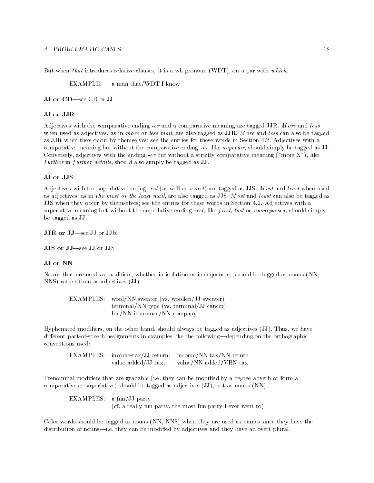But when that introduces relative clauses, it is a wh-pronoun (WDT), on a par with which.

EXAMPLE: a man that/WDT I know

JJ or CD-see CD or JJ

Adjectives with the comparative ending -er and a comparative meaning are tagged JJR- M ore and l ess when used as a finite services may be tagged as  $\mathcal{W}$ as JJR when they occur by themselves see the entries for these words in Section -- Adjectives with a comparative meaning but with the comparative ending - the comparative ending - the comparative ending - the compa er but with the ending - er but with the ending - er but with a strictly comparative means of the ending of the end  $f$  *urther* in  $f$  *urther details*, should also simply be tagged as JJ.

#### JJ or JJS

est as well as well as well as well as Just as well as well as well as the summer when when  $\cdots$ as and least or the least mail of the least mail are also tagged as JJS-C also be tagged as Jungales and the , when they column by the entries in the entries for the entries in Section - and the entries with a section of supercording the without the supercording - the superlative ending - the simple simple simple simple, the simple be tagged as JJ.

JJR or JJ-see JJ or JJR

JJS or JJ-see JJ or JJS

#### JJ or NN

Nouns that are used as modifiers, whether in isolation or in sequences, should be tagged as nouns (NN,  $NNS$ ) rather than as adjectives  $(JJ)$ .

 $\blacksquare$ terminally the  $\sim$  terminal  $\sim$  terminally the  $\sim$  terminal  $\sim$ life/NN insurance/NN company

Hyphenated modiers
on the other hand
should always be tagged as adjectives JJ- Thus
we have different part-of-speech assignments in examples like the following—depending on the orthographic conventions used

EXAMPLES: income-tax/JJ return; income/NN tax/NN return value-added/JJ tax; value/NN added/VBN tax

Prenominal modiers that are gradable i-e- they can be modied by a degree adverb or form a comparative or superlative) should be tagged as adjectives  $(\mathbf{JJ})$ , not as nouns  $(\mathbf{NN})$ .

 $EXAMPLES: a fun/JJ party$  $\mathbf r$  and the most function  $\mathbf r$  function  $\mathbf r$  function  $\mathbf r$ 

Color words should be tagged as nouns (NN, NNS) when they are used as names since they have the distribution of nounsi-e- they can be modied by adjectives and they have an overt plural-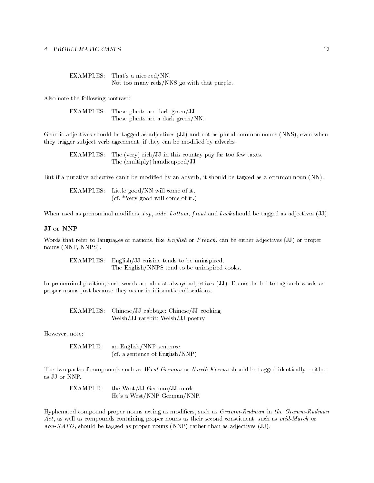| EXAMPLES: That's a nice red/NN.            |
|--------------------------------------------|
| Not too many reds/NNS go with that purple. |

Also note the following contrast

EXAMPLES: These plants are dark green/JJ. These plants are a dark green/NN.

Generic adjectives should be tagged as adjectives (JJ) and not as plural common nouns (NNS), even when they trigger subject-verb agreement, if they can be modified by adverbs.

EXAMPLES: The (very) rich/JJ in this country pay far too few taxes. The (multiply) handicapped/JJ

But if a putative adjective can't be modified by an adverb, it should be tagged as a common noun  $(NN)$ .

EXAMPLES: Little good/NN will come of it. cf- Very good will come of it-

When used as prenominal modifiers,  $top, side, bottom, front and back should be tagged as adjectives (JJ).$ 

#### JJ or NNP

Words that refer to languages or nations, like English or French, can be either adjectives  $(\mathbf{J}\mathbf{J})$  or proper nouns (NNP, NNPS).

EXAMPLES: English/JJ cuisine tends to be uninspired. The English/NNPS tend to be uninspired cooks.

in premominal positions are almost almost almost almost almost all the left almost as tag such as well as proper nouns just because they occur in idiomatic collocations-

EXAMPLES: Chinese/JJ cabbage; Chinese/JJ cooking Welsh/JJ rarebit; Welsh/JJ poetry

However
note

EXAMPLE: an English/NNP sentence cf- a sentence of EnglishNNP

The two parts of compounds such as W est German or N orth Korean should be tagged identically—either as JJ or NNP.

EXAMPLE: the West/JJ German/JJ mark He's a West/NNP German/NNP.

Hyphenated compound proper nouns acting as modiers
such as G ramm-Rudman in t he Gramm-Rudman ..., as well as compounded containing proper nounced as their second contains as more as more constituents non-to-tagged be tagged as proper nounced than as added than as adjectives  $\{1,2,1\}$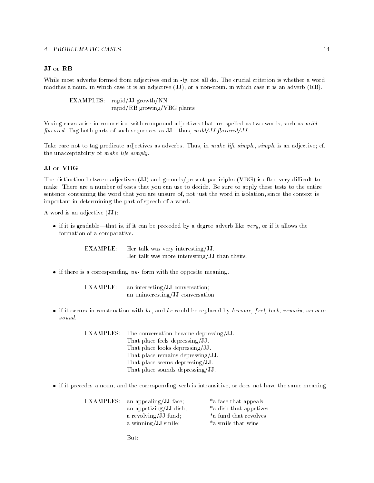#### JJ or RB

while most adverted formed from adjectives that in - 1, all doctors to most criterion in - words and - words a modifies a noun, in which case it is an adjective (JJ), or a non-noun, in which case it is an adverb (RB).

EXAMPLES: rapid/JJ growth/NN rapid/RB growing/VBG plants

Vexing cases arise in connection with compound adjectives that are spelled as two words, such as  $m \, i \, d$ avored-both parts parts of such sequences as  $\alpha$  in the  $\alpha$ 

take care not to tag predicate adjectives as advertises than advant in make complete as an adjective cf-cf-cfthe unacceptability of make life simply-

The distinction between adjectives (JJ) and gerunds/present participles (VBG) is often very difficult to make- There are a number of tests that you can use to decide- Be sure to apply these tests to the entire sentence containing the word that you are unsure of, not just the word in isolation, since the context is important in determining the part of speech of a word.

A word is an adjective  $(\mathbf{JJ})$ :

 $\bullet$  if it is gradable—that is, if it can be preceded by a degree adverb like very, or if it allows the formation of a comparative.

> EXAMPLE: Her talk was very interesting/JJ. Her talk was more interesting/JJ than theirs.

if there is a corresponding un- form with the opposite meaning-

EXAMPLE: an interesting/JJ conversation; an uninteresting/JJ conversation

• if it occurs in construction with be, and be could be replaced by become, feel, look, remain, seem or

| EXAMPLES: The conversation became depressing/JJ. |
|--------------------------------------------------|
| That place feels depressing/JJ.                  |
| That place looks depressing/JJ.                  |
| That place remains depressing/JJ.                |
| That place seems depressing/JJ.                  |
| That place sounds depressing/JJ.                 |
|                                                  |

• if it precedes a noun, and the corresponding verb is intransitive, or does not have the same meaning.

| EXAMPLES: an appealing/JJ face; | *a face that appeals   |
|---------------------------------|------------------------|
| an appetizing/JJ dish;          | *a dish that appetizes |
| a revolving/JJ fund;            | *a fund that revolves  |
| a winning/JJ smile;             | *a smile that wins     |

 $But:$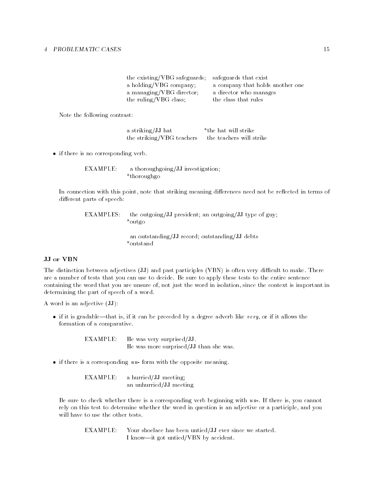| the existing/VBG safeguards; | safeguards that exist            |
|------------------------------|----------------------------------|
| a holding/VBG company;       | a company that holds another one |
| a managing/VBG director;     | a director who manages           |
| the ruling/VBG class;        | the class that rules             |

Note the following contrast

a striking/JJ hat \*the hat will strike the striking/VBG teachers the teachers will strike

• if there is no corresponding verb.

 $EXAMPLE: a thorough going/JJ investigation;$ thoroughgo

In connection with this point, note that striking meaning differences need not be reflected in terms of different parts of speech:

EXAMPLES: the outgoing/JJ president; an outgoing/JJ type of guy; outgo

> an outstanding/JJ record; outstanding/JJ debts \*outstand

#### JJ or VBN

The distinction between adjectives  $\{x, y\}$  and past participles  $\{y, w, w, w, w, w, w\}$  and the matrix  $\{w, w, w\}$ are a number of tests that you can use to decides me sure to spps, these tests to the entire sentence and containing the word that you are unsure of, not just the word in isolation, since the context is important in determining the part of speech of a word.

A word is an adjective  $(\mathbf{JJ})$ :

 $\bullet$  if it is gradable—that is, if it can be preceded by a degree adverb like very, or if it allows the formation of a comparative.

> EXAMPLE: He was very surprised/JJ. He was more surprised/JJ than she was.

if there is a corresponding un- form with the opposite meaning-

 $EXAMPLE: a$  hurried/JJ meeting; an unhurried/JJ meeting

Be sure to check whether there is a corresponding verb beginning with un-- If there is
you cannot rely on this test to determine whether the word in question is an adjective or a participle, and you will have to use the other tests.

EXAMPLE: Your shoelace has been untied/JJ ever since we started. I know-it got untied/VBN by accident.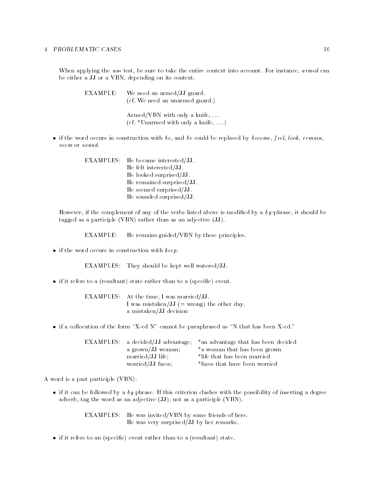when applying the un-test co-dimet is the entire context indicated metallicated accounting context into a be either a JJ or a VBN, depending on its context.

| EXAMPLE: | We need an armed/JJ guard.<br>(cf. We need an unarmed guard.) |
|----------|---------------------------------------------------------------|
|          | Armed/VBN with only a knife, $\dots$                          |

• if the word occurs in construction with be, and be could be replaced by become, feel, look, remain, seem or sound.

 $\mathcal{L}$  . The matrix only a matrix  $\mathcal{L}$ 

EXAMPLES: He became interested/JJ. He felt interested/JJ. He looked surprised/JJ. He remained surprised/JJ. He seemed surprised/ $JJ$ . He sounded surprised/JJ.

However, if the complement of any of the verbs listed above is modified by a  $by$ -phrase, it should be tagged as a participle (VBN) rather than as an adjective  $(\mathbf{JJ})$ .

 $EXAMPLE:$  He remains guided/VBN by these principles.

 $\bullet$  if the word occurs in construction with  $keep.$ 

EXAMPLES: They should be kept well watered/JJ.

 $\bullet$  if it refers to a (resultant) state rather than to a (specific) event.

EXAMPLES: At the time, I was married/JJ. I was mistaken/JJ  $($  = wrong) the other day. a mistaken/JJ decision

if a collocation of the form of the parallel as a parallel as  $\alpha$  as the parameter  $\alpha$ 

|                   | EXAMPLES: a decided/JJ advantage; *an advantage that has been decided |
|-------------------|-----------------------------------------------------------------------|
| a grown/JJ woman; | *a woman that has been grown                                          |
| married/JJ life;  | *life that has been married                                           |
| worried/JJ faces; | *faces that have been worried                                         |

A word is a past participle (VBN):

if it can be followed by a by phrase-in-this criterion classical criterion  $\mu$  criterion  $\mu$  as degree of adverb, tag the word as an adjective  $(\mathbf{JJ})$ , not as a participle  $(\mathbf{VBN})$ .

> EXAMPLES: He was invited/VBN by some friends of hers. He was very surprised/JJ by her remarks.

 $\bullet$  if it refers to an (specific) event rather than to a (resultant) state.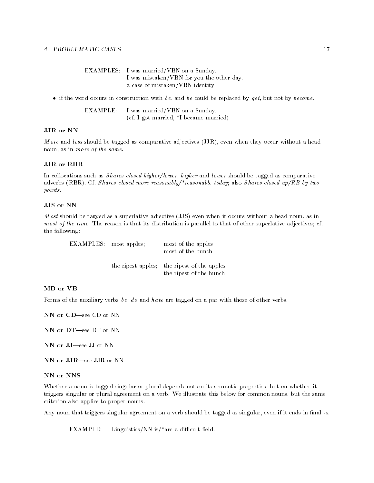| EXAMPLES: I was married/VBN on a Sunday.  |
|-------------------------------------------|
| I was mistaken/VBN for you the other day. |
| a case of mistaken/VBN identity           |

• if the word occurs in construction with be, and be could be replaced by get, but not by become.

EXAMPLE: I was married/VBN on a Sunday. cf- I got married
I became married

#### JJR or NN

*More* and less should be tagged as comparative adjectives  $(JJR)$ , even when they occur without a head noun, as in more of the same.

### JJR or RBR

In collocations such as *Shares closed higher/lower, higher* and *lower* should be tagged as comparative adverbs advertisers of the second more reasonable today also S hares closed up to second up to second up to se points.

M ost should be tagged as a superlative adjective  $(\overline{JJS})$  even when it occurs without a head noun, as in most of the time- The reason is that its distribution is parallel to that of other superlative adjectives cfthe following

EXAMPLES: most apples; most of the apples most of the bunch the ripest apples: the ripest of the apples the ripest of the bunch

#### MD or VB

Forms of the auxiliary verbs be, do and have are tagged on a par with those of other verbs.

NN or CD-see CD or NN

NN or DT-see DT or NN

NN or JJ-see JJ or NN

NN or JJR-see JJR or NN

NN or NNS

Whether a noun is tagged singular or plural depends not on its semantic properties
but on whether it  $\mathbf{p}$  illustrate this below for a verbcriterion also applies to proper nouns-

, arrangement that the singular singular and should be tagged as singular be tagged as singular and the singular

EXAMPLE: Linguistics/NN is/\*are a difficult field.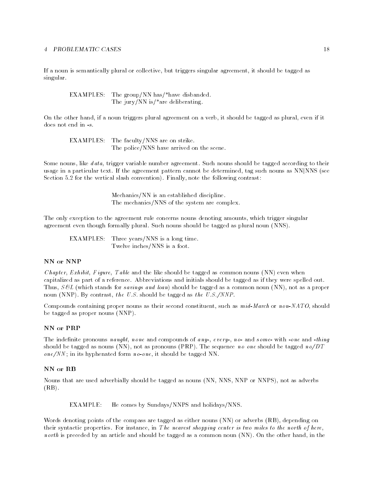If a noun is semantically plural or collective
but triggers singular agreement
it should be tagged as singular.

EXAMPLES: The group/NN has/\*have disbanded. The jury/NN is/ $*$ are deliberating.

On the other hand, if a noun triggers plural agreement on a verb, it should be tagged as plural, even if it does not end in  $-s$ .

 $EXAMPLES:$  The faculty/NNS are on strike. The police/NNS have arrived on the scene.

Some nouns
like d ata
trigger variable number agreement- Such nouns should be tagged according to their usage in a particular text- in the agreement pattern cannot be determined by any such as NN, NNS (1999) and states in the vertical states contrast  $\mathcal{L}_{\mathcal{A}}$  , and the following contrast  $\mathcal{L}_{\mathcal{A}}$ 

> $Mechanics/NN$  is an established discipline. The mechanics/NNS of the system are complex.

The only exception to the agreement rule concerns nouns denoting amounts
which trigger singular agreement though formally plural-distribution  $\mathcal{A}$  as plural-distribution  $\mathcal{A}$ 

 $EXAMPLES:$  Three years/NNS is a long time. Twelve inches/NNS is a foot.

### NN or NNP

*Chapter, Exhibit, Figure, Table* and the like should be tagged as common nouns  $(NN)$  even when capitalized as part of a reference-tagged as initials showled and information as if they were spelled out-Thus,  $S\mathcal{L}$  (which stands for savings and loan) should be tagged as a common noun (NN), not as a proper noun (over from a contrast) with the model of the part of the US of the US of the US of the US of the US of the

Compounds containing proper nouns as their second constituent
such as m id-March or non-NATO
should be tagged as proper nouns  $(NNP)$ .

The indenite pronouns naught none and compounds of any- every- no- and some- with -one and -thing should be tagged as nouns NN
not as pronouns PRP- The sequence no one should be tagged noDT one) <del>it should be tagged in a should be tagged in a should be tagged to tagged</del>

### NN or RB

Nouns that are used adverbially should be tagged as nouns (NN, NNS, NNP or NNPS), not as adverbs  $(RB)$ .

EXAMPLE: He comes by Sundays/NNPS and holidays/NNS.

Words denoting points of the compass are tagged as either nouns (NN) or adverbs (RB), depending on their syntactic properties- For instance
in T he nearest shopping center is two miles to the north of here north is preceded by an article and should be tagged as a common non-nounced as a common normal  $N$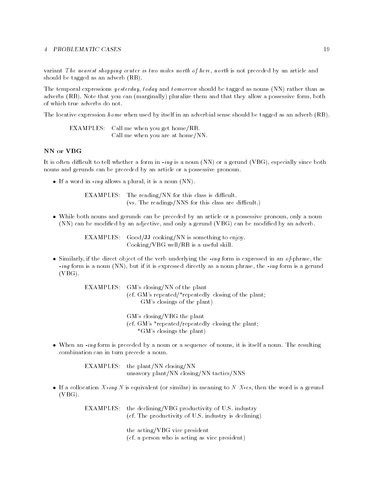variant The nearest shopping center is two miles north of here, north is not preceded by an article and should be tagged as an adverb  $(RB)$ .

The temporal expressions *yesterday*, today and tomorrow should be tagged as nouns (NN) rather than as adverbs RB- Note that you can marginally pluralize them and that they allow a possessive form
both of which true adverbs do not-

The locative expression *home* when used by itself in an adverbial sense should be tagged as an adverb  $(RB)$ .

EXAMPLES: Call me when you get home/RB. Call me when you are at home/ $NN$ .

## NN or VBG

It is the different to tell whether a form in -  $\alpha$  and  $\alpha$  are  $\alpha$  -  $\alpha$  and  $\alpha$   $\alpha$  ,  $\alpha$  ,  $\alpha$  ,  $\alpha$  ,  $\alpha$  ,  $\alpha$  ,  $\alpha$  ,  $\alpha$  ,  $\alpha$  ,  $\alpha$  ,  $\alpha$  ,  $\alpha$  ,  $\alpha$  ,  $\alpha$  ,  $\alpha$  ,  $\alpha$  ,  $\alpha$  ,  $\alpha$  ,  $\alpha$  , nouns and gerunds can be preceded by an article or a possessive pronoun-

it is a word in a word in the second of the second state  $\{1,2,3,4\}$ 

EXAMPLES: The reading/NN for this class is difficult.  $\mathbf{N}$  are different for this case are different for the reading  $\mathbf{N}$ 

• While both nouns and gerunds can be preceded by an article or a possessive pronoun, only a noun (NN) can be modified by an adjective, and only a gerund (VBG) can be modified by an adverb.

> EXAMPLES: Good/JJ cooking/NN is something to enjoy.  $Cooking/VBG$  well/RB is a useful skill.

 Similarly
if the direct object of the verb underlying the -ing form is expressed in an o fphrase
the ing form is a nounce  $\{ \cdots \}$  and if it is expressed directly as a nounce parameter  $\cdots$  gerunder and a gerund  $(VBG)$ .

> EXAMPLES: GM's closing/NN of the plant cf- GMs repeatedrepeatedly closing of the plant GM's closings of the plant)

> > GM's closing/VBG the plant cf- GMs repeatedrepeatedly closing the plant  $*$ GM's closings the plant)

ing form is it is preceded by a nounced by a nounced by a sequence of nounced by a nounced a noun-terminal sequence combination can in turn precede a noun-

> EXAMPLES: the plant/NN closing/NN unsavory plant/NN closing/NN tactics/NNS

is a collocation is any theory in mean (i.e. all including in the word in mean or as a gerund in the second in  $(VBG)$ .

> examples the declining of the declining of U-C and U-C  $\mu$ the productivity of U-C industrial is declining,

> > the acting/VBG vice president , ... a person who is acting as vice presidently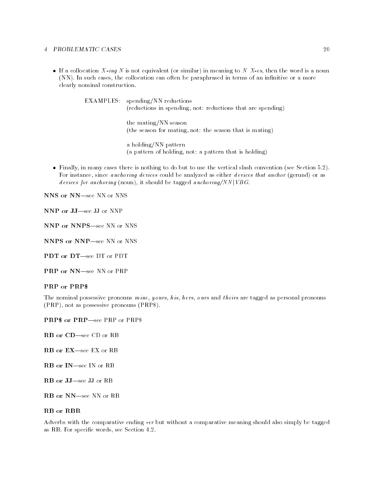is a collocation is any state of the collocation of the similarity for the word is a notable of the motors of NN- In such cases
the collocation can often be paraphrased in terms of an innitive or a more clearly nominal construction-

> EXAMPLES: spending/NN reductions (reductions in spending, not: reductions that are spending)

> > the mating/NN season (the season for mating, not: the season that is mating)

a holding/NN pattern (a pattern of holding, not: a pattern that is holding)

re in many cases there is no to use the vertical slash conventions to use the vertical slash convention  $\mathcal{L}$ For instance, since *anchoring devices* could be analyzed as either *devices that anchor* (gerund) or as devices for anchoring (noun), it should be tagged anchoring/NN |  $VBG$ .

NNS or NN-see NN or NNS

NNP or JJ-see JJ or NNP

NNP or NNPS-see NN or NNS

NNPS or NNP-see NN or NNS

PDT or DT-see DT or PDT

PRP or NN-see NN or PRP

#### PRP or PRP

The nominal possessive pronouns  $\text{min}$ ,  $\text{yours}$ ,  $\text{h}$  is,  $\text{h}$  ers,  $\text{o}$  urs and theirs are tagged as personal pronouns  $(PRP)$ , not as possessive pronouns  $(PRP\$ ).

**PRP\$** or PRP—see PRP or PRP\$

- RB or CD-see CD or RB
- RB or EX-see EX or RB
- RB or IN-see IN or RB
- RB or JJ-see JJ or RB
- RB or NN-see NN or RB

## **RB** or **RBR**

Adverbs with the comparative ending -er but without a comparative meaning should also simply be tagged as RB- For specic words
see Section --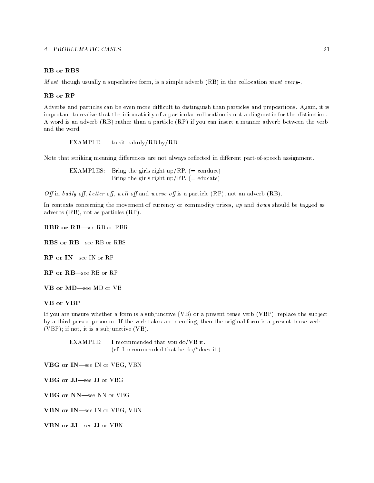## RB or RBS

M ost
though usually a superlative form
is a simple adverb RB in the collocation most every--

Adverbs and particles can be even more dicult to distinguish than particles and prepositions- Again
it is important to realize that the idiomaticity of a particular collocation is not a diagnostic for the distinction-A word is an adverb (RB) rather than a particle (RP) if you can insert a manner adverb between the verb and the word.

EXAMPLE: to sit calmly/RB by/RB

Note that striking meaning differences are not always reflected in different part-of-speech assignment.

examples bring the girls right upper than  $\cdots$  $\mathbf{B}$  and  $\mathbf{B}$  and  $\mathbf{B}$  is right upper to the girls  $\mathbf{B}$ 

Off in badly off, better off, well off and worse off is a particle  $(RP)$ , not an adverb  $(RB)$ .

In contexts concerning the movement of currency or commodity prices,  $up$  and  $down$  should be tagged as adverbs  $(RB)$ , not as particles  $(RP)$ .

RBR or RB-see RB or RBR

RBS or RB-see RB or RBS

RP or IN-see IN or RP

RP or RB-see RB or RP

VB or MD-see MD or VB

If you are unsure whether a form is a subjunctive  $(VB)$  or a present tense verb  $(VBP)$ , replace the subject , a third person pronounce an idea can indicate an - channon in - calgulation form is present tense verbes (VBP); if not, it is a subjunctive  $(VB)$ .

EXAMPLE: I recommended that you do/VB it. cf- I recommended that he dodoes it-

VBG or IN-see IN or VBG, VBN

VBG or JJ-see JJ or VBG

VBG or NN-see NN or VBG

VBN or IN-see IN or VBG, VBN

VBN or JJ-see JJ or VBN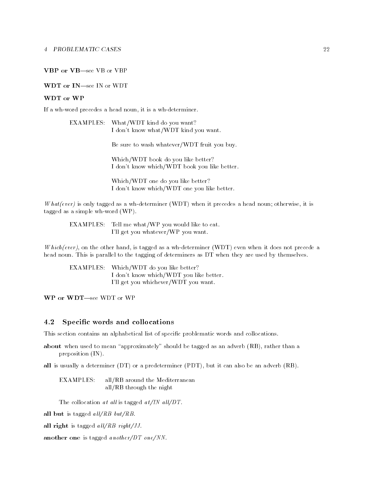## VBP or VB-see VB or VBP

#### WDT or IN-see IN or WDT

#### WDT or WP

If a wh-word precedes a head noun, it is a wh-determiner.

| EXAMPLES: What/WDT kind do you want? |
|--------------------------------------|
| I don't know what/WDT kind you want. |

Be sure to wash whatever/WDT fruit you buy.

Which/WDT book do you like better? I don't know which/WDT book you like better.

Which/WDT one do you like better? I don't know which/WDT one you like better.

What(ever) is only tagged as a wh-determiner (WDT) when it precedes a head noun; otherwise, it is tagged as a simple wh-word  $(WP)$ .

EXAMPLES: Tell me what/WP you would like to eat. I'll get you whatever/WP you want.

Which (ever), on the other hand, is tagged as a wh-determiner (WDT) even when it does not precede a head noun- This is parallel to the tagging of determiners as DT when they are used by themselves-

EXAMPLES: Which/WDT do you like better? I don't know which/WDT you like better. I'll get you whichever/WDT you want.

WP or WDT-see WDT or WP

#### 4.2 Specific words and collocations

This section contains an alphabetical list of specific problematic words and collocations.

about when when it means the tagged as an advertise  $\alpha$  is an advertised  $\alpha$  and  $\alpha$ preposition  $(IN)$ .

all is usually a determiner  $(DT)$  or a predeterminer  $(PDT)$ , but it can also be an adverb  $(RB)$ .

EXAMPLES: all/RB around the Mediterranean all/ $RB$  through the night

The collocation at all is tagged  $at/IN$  all/DT.

all but is tagged  $all/RB$  but/RB.

all right is tagged  $all/RB$  right/JJ.

another one is tagged another/DT one/NN.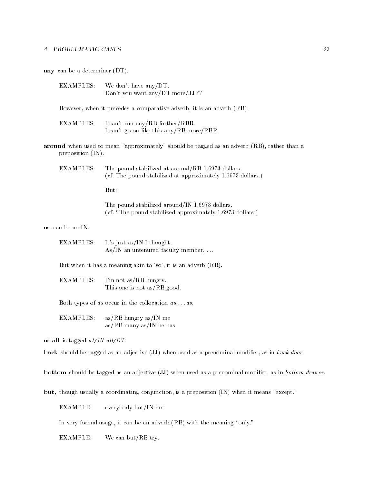any can be a determiner  $(DT)$ .

EXAMPLES: We don't have any/DT. Don't you want any/DT more/JJR?

However, when it precedes a comparative adverb, it is an adverb (RB).

- EXAMPLES: I can't run any/RB further/RBR. I can't go on like this any/RB more/RBR.
- around when when the meaning approximations, and have the thought had the the planet of the contract of the st preposition  $(IN)$ .

EXAMPLES The pound stabilized at aroundRB - dollars cf- The pound stabilized at approximately - dollars-

But:

The pound stabilized aroundIN - dollars- $\blacksquare$  the pound stabilized approximately -  $\blacksquare$ 

as can be an IN.

EXAMPLES: It's just as/IN I thought. As/IN an untenured faculty member,  $\dots$ 

But when it has a meaning akin to 'so', it is an adverb  $(RB)$ .

**EXAMPLES:** I'm not as/RB hungry. This one is not  $as/RB$  good.

Both types of as occur in the collocation  $as...as$ .

 $EXAMPLES:$  as/RB hungry as/IN me  $as/RB$  many  $as/IN$  he has

at all is tagged  $at/IN$  all/DT.

back should be tagged as an adjective  $(\mathbf{JJ})$  when used as a prenominal modifier, as in back door.

bottom should be tagged as an adjective  $(JJ)$  when used as a prenominal modifier, as in bottom drawer.

but though usually a coordinating conjunction
is a preposition IN when it means except-

 $EXAMPLE:$  everybody but/IN me

In very formal usage  $\mathcal{L}$  , we are advertised to mean advertise the meaning  $\mathcal{L}$ 

 $EXAMPLE:$  We can but/RB try.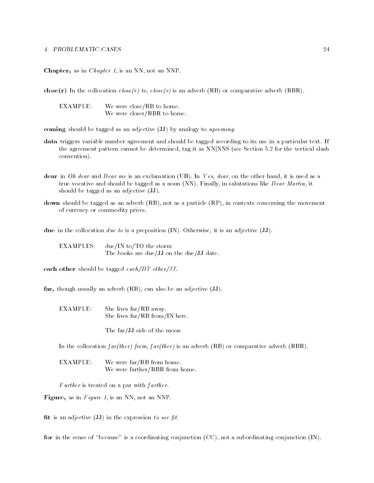Chapter, as in *Chapter 1*, is an NN, not an NNP.

close(r) In the collocation  $close(r)$  to,  $close(r)$  is an adverb (RB) or comparative adverb (RBR).

 $EXAMPLE:$  We were close/RB to home. We were closer/RBR to home.

coming should be tagged as an adjective  $(\mathbf{JJ})$  by analogy to upcoming.

- data triggers variable number and showld be tagged according to its use in a particular textthe agreement pattern cannot be determined with as the vertical slashed and construct the vertical slashed convention).
- dear in O h dear me is an exclamation of the other hand dear me is used as an exclamation of the other hand de  $T$ rue vocative and should be tagged as a noun  $N$  -  $N$  -  $N$  Martin  $N$  ear  $N$  and  $N$ should be tagged as an adjective  $(\mathbf{JJ})$ .
- down should be tagged as an adverb (RB), not as a particle (RP), in contexts concerning the movement of currency or commodity prices-

due in the collocation d ue to is a preposition IN- Otherwise
it is an adjective JJ-

EXAMPLES:  $due/IN$  to/TO the storm The books are due/JJ on the due/JJ date.

each other should be tagged  $each/DT\ other/JJ$ .

far, though usually an adverb  $(RB)$ , can also be an adjective  $(\mathbf{JJ})$ .

 $EXAMPLE:$  She lives  $far/RB$  away. She lives  $far/RB$  from/IN here.

The far/JJ side of the moon

In the collocation  $far(ther) from, far(ther)$  is an adverb (RB) or comparative adverb (RBR).

 $EXAMPLE:$  We were  $far/RB$  from home. We were farther/RBR from home.

Further is treated on a par with  $f$  arther.

Figure, as in  $Figure 1$ , is an NN, not an NNP.

fit is an adjective  $(\mathbf{JJ})$  in the expression to see fit.

for interesting in the sense of  $\alpha$  conjunction  $\alpha$  and  $\alpha$  subsets of  $\alpha$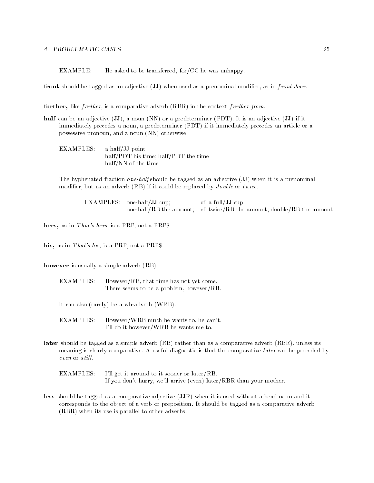$EXAMPLE:$  He asked to be transferred, for CC he was unhappy.

front should be tagged as an adjective  $(JJ)$  when used as a prenominal modifier, as in f ront door.

further, like farther, is a comparative adverb (RBR) in the context further from.

- is a non-determined by a non-determined or a predetermine  $\{z \in \mathcal{A}\}$  as an adjective  $\{z \in \mathcal{A}\}$  as as immediately precedes a noun, a predeterminer (PDT) if it immediately precedes an article or a possessive pronoun, and a noun (NN) otherwise.
	- EXAMPLES: a half/JJ point half/PDT his time; half/PDT the time half/NN of the time

 $\mathcal{A}$  is a prenominal behalf shown in a prenominal behalf shown in a prenominal behalf shown in a prenominal behalf shown in a prenominal behalf shown in a prenominal behalf shown in a prenominal behalf shown in a pren modifier, but as an adverb  $(RB)$  if it could be replaced by *double* or *twice*.

EXAMPLES: one-half/ $JJ$  cup; cf. a full/JJ cup one have the amount come and address the amount double the amount double

hers, as in That's hers, is a PRP, not a PRP\$.

his, as in  $That's his$ , is a PRP, not a PRP\$.

however is usually a simple adverb  $(RB)$ .

 $EXAMPLES:$  However/RB, that time has not yet come. There seems to be a problem, however/ $RB$ .

It can also (rarely) be a wh-adverb  $(WRB)$ .

EXAMPLES: However/WRB much he wants to, he can't. I'll do it however/WRB he wants me to.

later should be tagged as a simple adverb  $(RB)$  rather than as a comparative adverb  $(RBR)$ , unless its meaning is clearly comparative- A useful diagnostic is that the comparative l ater can be preceded by  $even$  or  $still.$ 

EXAMPLES: I'll get it around to it sooner or later/RB. If you don't hurry, we'll arrive (even) later/RBR than your mother.

less should be tagged as a comparative adjective (JJR) when it is used without a head noun and it corresponds to the object of a verb or preposition- It should be tagged as a comparative adverb  $(RBR)$  when its use is parallel to other adverbs.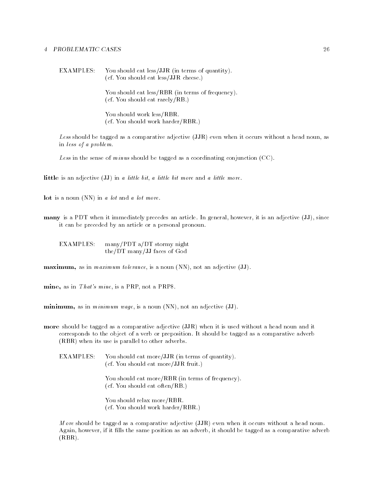EXAMPLES: You should eat less/JJR (in terms of quantity). cf- You should eat lessJJR cheese-

> You should eat less/RBR (in terms of frequency).  $\mathcal{N}$  and  $\mathcal{N}$ -ratio should eat rarely. The rarely  $\mathcal{N}$

You should work less/RBR.  $\mathcal{Y}$  you should work harder RBR-FI should work harder RBR-FI should work harder RBR-FI should work harder RBR-FI should be a should work of the state  $\mathcal{Y}$ 

Less should be tagged as a comparative adjective (JJR) even when it occurs without a head noun, as in less of a problem.

Less in the sense of minus should be tagged as a coordinating conjunction  $(CC)$ .

little is an adjective  $(\mathbf{JJ})$  in a little bit, a little bit more and a little more.

Lot is a noun  $(NN)$  in a lot and a lot more.

many is a PDT when it is an adjective  $\mathcal{M}$  and a since  $\mathcal{M}$  and adjective  $\mathcal{M}$  and adjective  $\mathcal{M}$ it can be preceded by an article or a personal pronoun.

 $EXAMPLES:$  many/PDT a/DT stormy night the/DT many/JJ faces of God

 $$ 

mine, as in  $That's$  mine, is a PRP, not a PRP\$.

**, as in** *minimum wage***, is a noun (NN), not an adjective**  $(\mathbf{JJ})$ **.** 

more should be tagged as a comparative adjective (JJR) when it is used without a head noun and it corresponds to the object of a verb or preposition- It should be tagged as a comparative adverb  $(RBR)$  when its use is parallel to other adverbs.

**EXAMPLES:** You should eat more/JJR (in terms of quantity).  $\sqrt{2}$  you should eat more  $\sqrt{2}$ 

> You should eat more/RBR (in terms of frequency). cf- You should eat oftenRB-

You should relax more/RBR. cf- You should work harderRBR-

M ore should be tagged as a comparative adjective  $(JJR)$  even when it occurs without a head noun. Again, however, if it fills the same position as an adverb, it should be tagged as a comparative adverb  $(RBR)$ .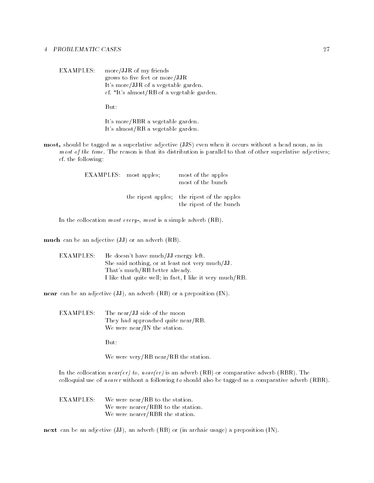EXAMPLES: more/JJR of my friends grows to five feet or more/JJR It's more/JJR of a vegetable garden. ... Its almost a version and a version garden

But:

It's more/RBR a vegetable garden. It's almost/RB a vegetable garden.

most, should be tagged as a superlative adjective (JJS) even when it occurs without a head noun, as in most of the times-that its distribution is that its distribution is parameter to that of other superlatives adj cf- the following

| <b>EXAMPLES</b> : most apples; | most of the apples<br>most of the bunch                                |
|--------------------------------|------------------------------------------------------------------------|
|                                | the ripest apples; the ripest of the apples<br>the ripest of the bunch |

In the collocation most every-state  $\mathbf{R}$  is a simple advertise  $\mathbf{R}$ 

much can be an adjective  $(\mathbf{JJ})$  or an adverb  $(\mathbf{RB})$ .

| EXAMPLES: -- | - He doesn't have much/JJ energy left.                   |
|--------------|----------------------------------------------------------|
|              | She said nothing, or at least not very much/JJ.          |
|              | That's much/RB better already                            |
|              | I like that quite well; in fact, I like it very much/RB. |

near can be an adjective  $(\mathrm{JJ})$ , an adverb  $(\mathrm{RB})$  or a preposition  $(\mathrm{IN})$ .

**EXAMPLES:** The near/JJ side of the moon They had approached quite near/ $RB$ . We were near/IN the station.

But:

We were very/RB near/RB the station.

in the collocation of the collocation of the state advertiser (see the comparative adverbed (see sale) and the colloquial use of nearer without a following to should also be tagged as a comparative adverb  $(RBR)$ .

**EXAMPLES:** We were near/RB to the station. We were nearer/RBR to the station. We were nearer/RBR the station.

next can be an adjective  $(\mathrm{JJ})$ , an adverb  $(\mathrm{RB})$  or  $(\mathrm{in}$  archaic usage) a preposition  $(\mathrm{IN})$ .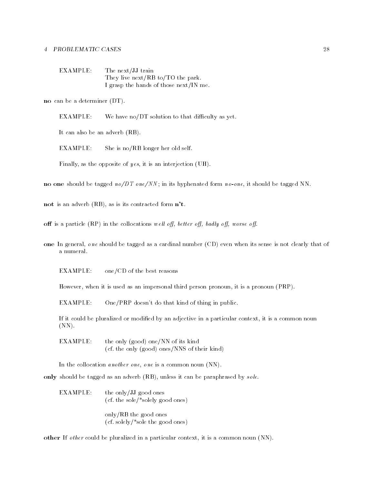| EXAMPLE: | The next/JJ train                      |
|----------|----------------------------------------|
|          | They live next/RB to/TO the park.      |
|          | I grasp the hands of those next/IN me. |

no can be a determiner (DT).

EXAMPLE: We have no/DT solution to that difficulty as yet.

It can also be an adverb  $(RB)$ .

 $EXAMPLE:$  She is no/RB longer her old self.

Finally, as the opposite of  $yes$ , it is an interjection (UH).

no one should be tagged it, a conferred for the form of the theory of the should be tagged that

not is an adverb  $(RB)$ , as is its contracted form  $n't$ .

off is a particle (RP) in the collocations well off, better off, badly off, worse off.

one In general, one should be tagged as a cardinal number (CD) even when its sense is not clearly that of

 $EXAMPLE:$  one/CD of the best reasons

However, when it is used as an impersonal third person pronoun, it is a pronoun (PRP).

EXAMPLE: One/PRP doesn't do that kind of thing in public.

If it could be pluralized or modified by an adjective in a particular context, it is a common noun  $(NN)$ .

EXAMPLE: the only (good) one/NN of its kind  $\mathbf{v}$  the ones NNS of the ones NNS of the ones NNS of the ones NNS of the ones NNS of the ones NNS of the ones NNS of the ones NNS of the ones NNS of the ones NNS of the ones NNS of the ones NNS of the ones NNS of the

In the collocation *another one*, *one* is a common noun  $(NN)$ .

only should be tagged as an adverb  $(RB)$ , unless it can be paraphrased by sole.

 $EXAMPLE:$  the only/JJ good ones cf- the solesolely good ones only/RB the good ones

 cf- solelysole the good ones

other If *other* could be pluralized in a particular context, it is a common noun  $(NN)$ .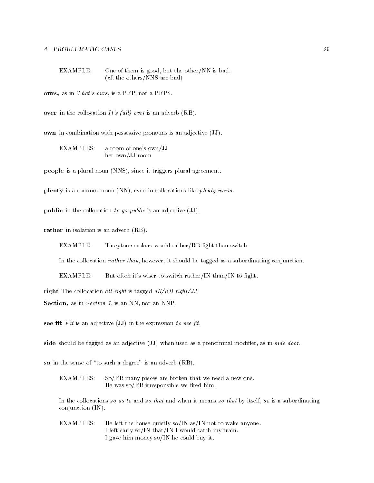$EXAMPLE:$  One of them is good, but the other/NN is bad. rection the other the other than the other property of the contract of the contract of the contract of the contract of the contract of the contract of the contract of the contract of the contract of the contract of the con

ours, as in That's ours, is a PRP, not a PRP\$.

over in the collocation It's (all) over is an adverb  $(RB)$ .

own in combination with possessive pronouns is an adjective  $(\mathbf{JJ})$ .

EXAMPLES: a room of one's own/JJ her own/JJ room

people is a plural noun (NNS), since it triggers plural agreement.

plenty is a common noun (NN), even in collocations like plenty warm.

**public** in the collocation to go public is an adjective  $(\mathbf{JJ})$ .

rather in isolation is an adverb (RB).

EXAMPLE: Tareyton smokers would rather/RB fight than switch.

In the collocation *rather than*, however, it should be tagged as a subordinating conjunction.

EXAMPLE: But often it's wiser to switch rather/IN than/IN to fight.

right The collocation all right is tagged all/RB right/JJ.

Section, as in  $Section 1$ , is an NN, not an NNP.

see fit Fit is an adjective (JJ) in the expression to see fit.

side should be tagged as an adjective  $(\mathbf{JJ})$  when used as a prenominal modifier, as in side door.

so in the sense of the sense of  $\mathbf{A}$  and advertise is an adverb  $\mathbf{A}$ 

EXAMPLES: So/RB many pieces are broken that we need a new one. He was  $\rm{so}/{RB}$  irresponsible we fired him.

In the collocations so as to and so that and when it means so that by itself, so is a subordinating conjunction  $(IN)$ .

EXAMPLES: He left the house quietly so/IN as/IN not to wake anyone. I left early so/IN that/IN I would catch my train. I gave him money so/IN he could buy it.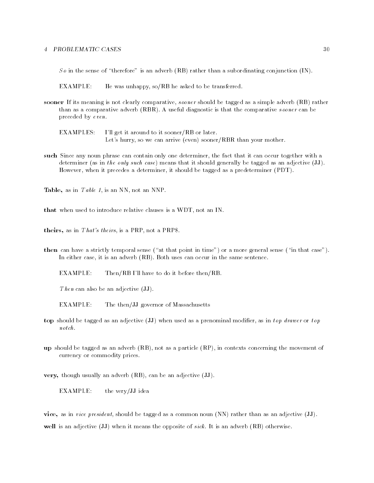$\sim$  . The sense of the sense of the subscription  $\sim$  , the subscription of the subscription  $\sim$ 

EXAMPLE: He was unhappy,  $so/RB$  he asked to be transferred.

sooner If its meaning is not clearly comparative, sooner should be tagged as a simple adverb (RB) rather than as a comparative advertise advertise advertise  $\mathcal{A}$  useful diagnostic is that the comparative society so preceded by even.

I'll get it around to it sooner/RB or later. EXAMPLES: Let's hurry, so we can arrive (even) sooner/RBR than your mother.

such Since any noun phrase can contain only one determiner, the fact that it can occur together with a determiner (as in the only such case) means that it should generally be tagged as an adjective  $(\mathbf{JJ})$ . However, when it precedes a determiner, it should be tagged as a predeterminer (PDT).

Table, as in  $Table 1$ , is an NN, not an NNP.

that when used to introduce relative clauses is a WDT, not an IN.

theirs, as in *That's theirs*, is a PRP, not a PRP\$.

then can have a strictly temporal sense  $\mathbf{r}$  at the point in that cases  $\mathbf{r}$ In either case  $\mathbf{I}$ 

EXAMPLE: Then/RB I'll have to do it before then/RB.

Then can also be an adjective  $(\mathbf{JJ})$ .

EXAMPLE: The then/JJ governor of Massachusetts

- top should be tagged as an adjective (JJ) when used as a prenominal modifier, as in top drawer or top  $notch.$
- up should be tagged as an adverb  $(RB)$ , not as a particle  $(RP)$ , in contexts concerning the movement of currency or commodity prices-

very, though usually an adverb (RB), can be an adjective (JJ).

EXAMPLE: the very/JJ idea

vice, as in vice president, should be tagged as a common noun  $\rm(NN)$  rather than as an adjective (JJ). well is an adjective  $\{x \, i\}$  when it means the opposite of state of an advertise  $\{x \, i\, j\, k\}$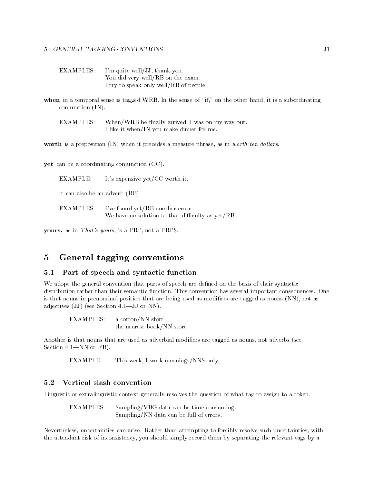$EXAMPLES:$  I'm quite well/JJ, thank you. You did very well/RB on the exam. I try to speak only well/RB of people.

when in a temporal sense is tagged WRB-the sense of the sense of the sense of the other handles in the sense of  $conjunction (IN).$ 

When/WRB he finally arrived, I was on my way out. EXAMPLES: I like it when/IN you make dinner for me.

worth is a preposition  $\overline{(IN)}$  when it precedes a measure phrase, as in worth ten dollars.

yet can be a coordinating conjunction (CC).

 $EXAMPLE:$  It's expensive yet/CC worth it.

It can also be an adverb  $(RB)$ .

 $EXAMPLES:$  I've found yet/RB another error. We have no solution to that difficulty as  $yet/RB$ .

yours, as in *That's yours*, is a PRP, not a PRP\$.

#### General tagging conventions  $\overline{5}$  $\sim$

#### $5.1$ Part of speech and syntactic function

We adopt the general convention that parts of speech are defined on the basis of their syntactic distribution rather than their semantic function- This convention has several important consequences- One is that nouns in prenominal position that are being used as modifiers are tagged as nouns (NN), not as adjectives when  $\mathcal{N}$  and  $\mathcal{N}$  are Section -  $\mathcal{N}$ 

**EXAMPLES:** a cotton/NN shirt the nearest book/NN store

Another is that nouns that are used as adverbial modifiers are tagged as nouns, not adverbs (see Section -NN or RB-

EXAMPLE: This week, I work mornings/NNS only.

#### $5.2$ Vertical slash convention

Linguistic or extralinguistic context generally resolves the question of what tag to assign to a token.

**EXAMPLES:**  $Sampling/VBG$  data can be time-consuming. Sampling/NN data can be full of errors.

Nevertheless
uncertainties can arise- Rather than attempting to forcibly resolve such uncertainties
with the attendant risk of inconsistency, you should simply record them by separating the relevant tags by a